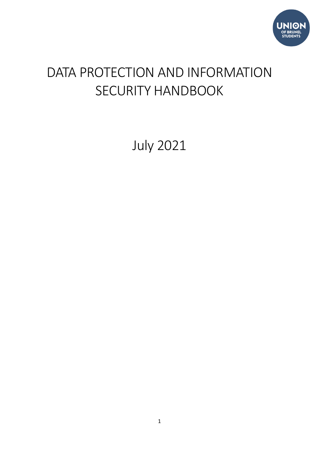

# DATA PROTECTION AND INFORMATION SECURITY HANDBOOK

July 2021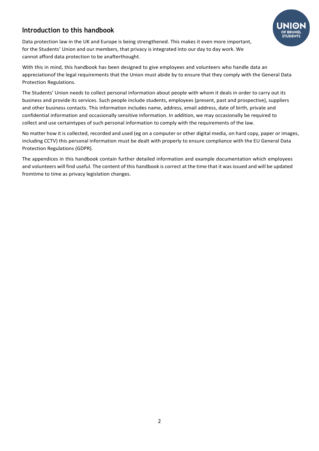# <span id="page-1-0"></span>**Introduction to this handbook**

Data protection law in the UK and Europe is being strengthened. This makes it even more important, for the Students' Union and our members, that privacy is integrated into our day to day work. We cannot afford data protection to be anafterthought.

With this in mind, this handbook has been designed to give employees and volunteers who handle data an appreciationof the legal requirements that the Union must abide by to ensure that they comply with the General Data Protection Regulations.

The Students' Union needs to collect personal information about people with whom it deals in order to carry out its business and provide its services. Such people include students, employees (present, past and prospective), suppliers and other business contacts. This information includes name, address, email address, date of birth, private and confidential information and occasionally sensitive information. In addition, we may occasionally be required to collect and use certaintypes of such personal information to comply with the requirements of the law.

No matter how it is collected, recorded and used (eg on a computer or other digital media, on hard copy, paper or images, including CCTV) this personal information must be dealt with properly to ensure compliance with the EU General Data Protection Regulations (GDPR).

The appendices in this handbook contain further detailed information and example documentation which employees and volunteers will find useful. The content of this handbook is correct at the time that it was issued and will be updated fromtime to time as privacy legislation changes.

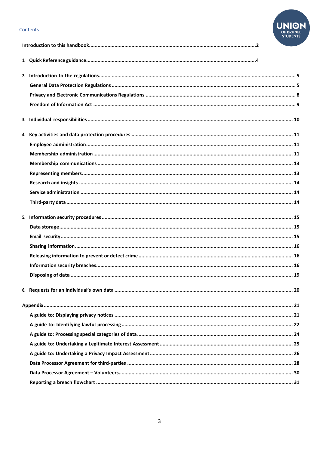#### Contents

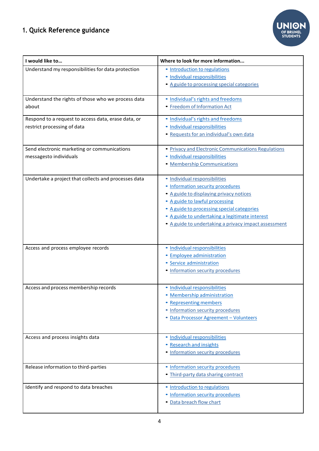# <span id="page-3-0"></span>**1. Quick Reference guidance**



| I would like to                                      | Where to look for more information                   |  |
|------------------------------------------------------|------------------------------------------------------|--|
| Understand my responsibilities for data protection   | • Introduction to regulations                        |  |
|                                                      | · Individual responsibilities                        |  |
|                                                      | • A guide to processing special categories           |  |
| Understand the rights of those who we process data   | · Individual's rights and freedoms                   |  |
| about                                                | • Freedom of Information Act                         |  |
| Respond to a request to access data, erase data, or  | • Individual's rights and freedoms                   |  |
| restrict processing of data                          | · Individual responsibilities                        |  |
|                                                      | • Requests for an individual's own data              |  |
| Send electronic marketing or communications          | • Privacy and Electronic Communications Regulations  |  |
| messagesto individuals                               | · Individual responsibilities                        |  |
|                                                      | · Membership Communications                          |  |
| Undertake a project that collects and processes data | · Individual responsibilities                        |  |
|                                                      | · Information security procedures                    |  |
|                                                      | • A guide to displaying privacy notices              |  |
|                                                      | • A guide to lawful processing                       |  |
|                                                      | • A guide to processing special categories           |  |
|                                                      | · A guide to undertaking a legitimate interest       |  |
|                                                      | • A guide to undertaking a privacy impact assessment |  |
|                                                      |                                                      |  |
| Access and process employee records                  | · Individual responsibilities                        |  |
|                                                      | · Employee administration                            |  |
|                                                      | · Service administration                             |  |
|                                                      | • Information security procedures                    |  |
| Access and process membership records                | · Individual responsibilities                        |  |
|                                                      | <b>Membership administration</b>                     |  |
|                                                      | • Representing members                               |  |
|                                                      | • Information security procedures                    |  |
|                                                      | · Data Processor Agreement - Volunteers              |  |
|                                                      |                                                      |  |
| Access and process insights data                     | · Individual responsibilities                        |  |
|                                                      | • Research and insights                              |  |
|                                                      | • Information security procedures                    |  |
| Release information to third-parties                 | • Information security procedures                    |  |
|                                                      | . Third-party data sharing contract                  |  |
| Identify and respond to data breaches                | • Introduction to regulations                        |  |
|                                                      | • Information security procedures                    |  |
|                                                      | • Data breach flow chart                             |  |
|                                                      |                                                      |  |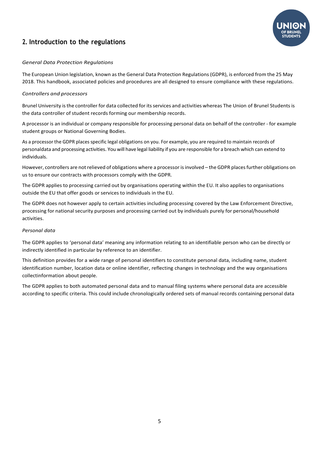# <span id="page-4-0"></span>**2. Introduction to the regulations**



# <span id="page-4-1"></span>*General Data Protection Regulations*

The European Union legislation, known as the General Data Protection Regulations (GDPR), is enforced from the 25 May 2018. This handbook, associated policies and procedures are all designed to ensure compliance with these regulations.

# *Controllers and processors*

Brunel University is the controller for data collected for its services and activities whereas The Union of Brunel Students is the data controller of student records forming our membership records.

A processor is an individual or company responsible for processing personal data on behalf of the controller - for example student groups or National Governing Bodies.

As a processor the GDPR places specific legal obligations on you. For example, you are required to maintain records of personaldata and processing activities. You will have legal liability if you are responsible for a breach which can extend to individuals.

However, controllers are not relieved of obligations where a processor is involved – the GDPR places further obligations on us to ensure our contracts with processors comply with the GDPR.

The GDPR applies to processing carried out by organisations operating within the EU. It also applies to organisations outside the EU that offer goods or services to individuals in the EU.

The GDPR does not however apply to certain activities including processing covered by the Law Enforcement Directive, processing for national security purposes and processing carried out by individuals purely for personal/household activities.

# *Personal data*

The GDPR applies to 'personal data' meaning any information relating to an identifiable person who can be directly or indirectly identified in particular by reference to an identifier.

This definition provides for a wide range of personal identifiers to constitute personal data, including name, student identification number, location data or online identifier, reflecting changes in technology and the way organisations collectinformation about people.

The GDPR applies to both automated personal data and to manual filing systems where personal data are accessible according to specific criteria. This could include chronologically ordered sets of manual records containing personal data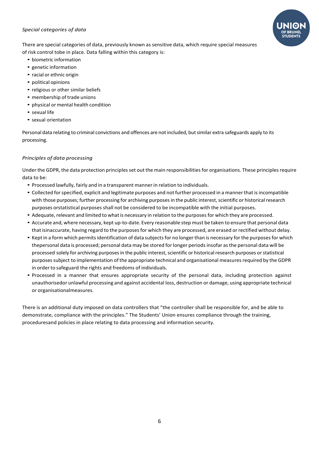## *Special categories of data*



There are special categories of data, previously known as sensitive data, which require special measures of risk control tobe in place. Data falling within this category is:

- biometric information
- genetic information
- racial or ethnic origin
- political opinions
- religious or other similar beliefs
- membership of trade unions
- physical or mental health condition
- sexual life
- sexual orientation

Personal data relating to criminal convictions and offences are not included, but similar extra safeguards apply to its processing.

# *Principles of data processing*

Under the GDPR, the data protection principles set out the main responsibilities for organisations. These principles require data to be:

- Processed lawfully, fairly and in a transparent mannerin relation to individuals.
- Collected for specified, explicit and legitimate purposes and not further processed in a manner that is incompatible with those purposes; further processing for archiving purposes in the public interest, scientific or historical research purposes orstatistical purposes shall not be considered to be incompatible with the initial purposes.
- Adequate, relevant and limited to what is necessary in relation to the purposes for which they are processed.
- Accurate and, where necessary, kept up-to-date. Every reasonable step must be taken to ensure that personal data that isinaccurate, having regard to the purposes for which they are processed, are erased or rectified without delay.
- Kept in a form which permits identification of data subjects for no longer than is necessary for the purposes for which thepersonal data is processed; personal data may be stored forlonger periodsinsofar asthe personal data will be processed solely for archiving purposes in the public interest, scientific or historical research purposes or statistical purposes subject to implementation of the appropriate technical and organisational measures required by the GDPR in order to safeguard the rights and freedoms of individuals.
- Processed in a manner that ensures appropriate security of the personal data, including protection against unauthorisedor unlawful processing and against accidental loss, destruction or damage, using appropriate technical or organisationalmeasures.

There is an additional duty imposed on data controllers that "the controller shall be responsible for, and be able to demonstrate, compliance with the principles." The Students' Union ensures compliance through the training, proceduresand policies in place relating to data processing and information security.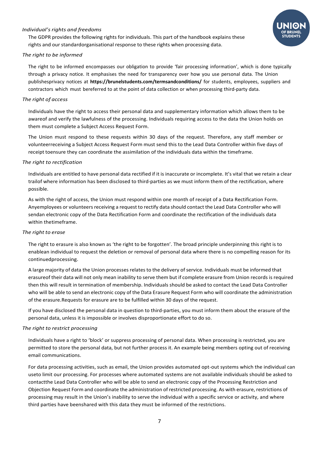# <span id="page-6-0"></span>*Individual's rights and freedoms*

The GDPR provides the following rights for individuals. This part of the handbook explains these rights and our standardorganisational response to these rights when processing data.



#### *The right to be informed*

The right to be informed encompasses our obligation to provide 'fair processing information', which is done typically through a privacy notice. It emphasises the need for transparency over how you use personal data. The Union publishesprivacy notices at **https://brunelstudents.com/termsandconditions/** for students, employees, suppliers and contractors which must bereferred to at the point of data collection or when processing third-party data.

#### *The right of access*

Individuals have the right to access their personal data and supplementary information which allows them to be awareof and verify the lawfulness of the processing. Individuals requiring access to the data the Union holds on them must complete a Subject Access Request Form.

The Union must respond to these requests within 30 days of the request. Therefore, any staff member or volunteerreceiving a Subject Access Request Form must send this to the Lead Data Controller within five days of receipt toensure they can coordinate the assimilation of the individuals data within the timeframe.

#### *The right to rectification*

Individuals are entitled to have personal data rectified if it is inaccurate or incomplete. It's vital that we retain a clear trailof where information has been disclosed to third-parties as we must inform them of the rectification, where possible.

As with the right of access, the Union must respond within one month of receipt of a Data Rectification Form. Anyemployees or volunteers receiving a request to rectify data should contact the Lead Data Controller who will sendan electronic copy of the Data Rectification Form and coordinate the rectification of the individuals data within thetimeframe.

#### *The right to erase*

The right to erasure is also known as 'the right to be forgotten'. The broad principle underpinning this right is to enablean individual to request the deletion or removal of personal data where there is no compelling reason for its continuedprocessing.

A large majority of data the Union processes relates to the delivery of service. Individuals must be informed that erasureof their data will not only mean inability to serve them but if complete erasure from Union records is required then this will result in termination of membership. Individuals should be asked to contact the Lead Data Controller who will be able to send an electronic copy of the Data Erasure Request Form who will coordinate the administration of the erasure.Requests for erasure are to be fulfilled within 30 days of the request.

If you have disclosed the personal data in question to third-parties, you must inform them about the erasure of the personal data, unless it is impossible or involves disproportionate effort to do so.

#### *The right to restrict processing*

Individuals have a right to 'block' or suppress processing of personal data. When processing is restricted, you are permitted to store the personal data, but not further process it. An example being members opting out of receiving email communications.

For data processing activities, such as email, the Union provides automated opt-out systems which the individual can useto limit our processing. For processes where automated systems are not available individuals should be asked to contactthe Lead Data Controller who will be able to send an electronic copy of the Processing Restriction and Objection Request Form and coordinate the administration of restricted processing. As with erasure, restrictions of processing may result in the Union's inability to serve the individual with a specific service or activity, and where third parties have beenshared with this data they must be informed of the restrictions.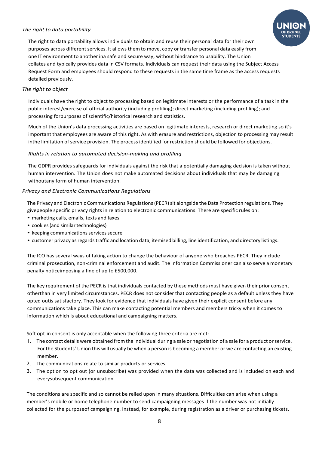# *The right to data portability*



The right to data portability allows individuals to obtain and reuse their personal data for their own purposes across different services. It allows them to move, copy or transfer personal data easily from one IT environment to another ina safe and secure way, without hindrance to usability. The Union collates and typically provides data in CSV formats. Individuals can request their data using the Subject Access Request Form and employees should respond to these requests in the same time frame as the access requests detailed previously.

## *The right to object*

Individuals have the right to object to processing based on legitimate interests or the performance of a task in the public interest/exercise of official authority (including profiling); direct marketing (including profiling); and processing forpurposes of scientific/historical research and statistics.

Much of the Union's data processing activities are based on legitimate interests, research or direct marketing so it's important that employees are aware of this right. As with erasure and restrictions, objection to processing may result inthe limitation ofservice provision. The process identified for restriction should be followed for objections.

# *Rights in relation to automated decision-making and profiling*

The GDPR provides safeguards for individuals against the risk that a potentially damaging decision is taken without human intervention. The Union does not make automated decisions about individuals that may be damaging withoutany form of human intervention.

# <span id="page-7-0"></span>*Privacy and Electronic Communications Regulations*

The Privacy and Electronic Communications Regulations (PECR) sit alongside the Data Protection regulations. They givepeople specific privacy rights in relation to electronic communications. There are specific rules on:

- marketing calls, emails, texts and faxes
- cookies (and similar technologies)
- keeping communications services secure
- customer privacy as regards traffic and location data, itemised billing, line identification, and directory listings.

The ICO has several ways of taking action to change the behaviour of anyone who breaches PECR. They include criminal prosecution, non-criminal enforcement and audit. The Information Commissioner can also serve a monetary penalty noticeimposing a fine of up to £500,000.

The key requirement of the PECR is that individuals contacted by these methods must have given their prior consent otherthan in very limited circumstances. PECR does not consider that contacting people as a default unless they have opted outis satisfactory. They look for evidence that individuals have given their explicit consent before any communications take place. This can make contacting potential members and members tricky when it comes to information which is about educational and campaigning matters.

Soft opt-in consent is only acceptable when the following three criteria are met:

- 1. The contact details were obtained fromthe individual during a sale or negotiation of a sale for a product orservice. For the Students' Union this will usually be when a person is becoming a member or we are contacting an existing member.
- 2. The communications relate to similar products or services.
- 3. The option to opt out (or unsubscribe) was provided when the data was collected and is included on each and everysubsequent communication.

The conditions are specific and so cannot be relied upon in many situations. Difficulties can arise when using a member's mobile or home telephone number to send campaigning messages if the number was not initially collected for the purposeof campaigning. Instead, for example, during registration as a driver or purchasing tickets.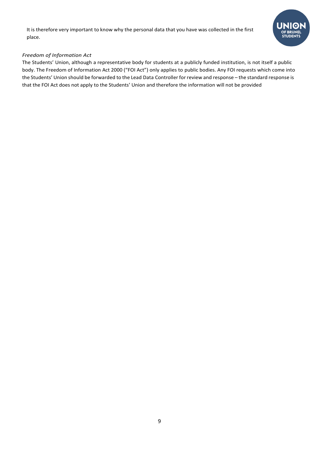It is therefore very important to know why the personal data that you have was collected in the first place.



# <span id="page-8-0"></span>*Freedom of Information Act*

The Students' Union, although a representative body for students at a publicly funded institution, is not itself a public body. The Freedom of Information Act 2000 ("FOI Act") only applies to public bodies. Any FOI requests which come into the Students' Union should be forwarded to the Lead Data Controller for review and response – the standard response is that the FOI Act does not apply to the Students' Union and therefore the information will not be provided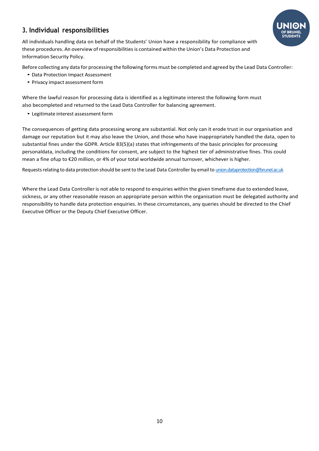# <span id="page-9-0"></span>**3. Individual responsibilities**

All individuals handling data on behalf of the Students' Union have a responsibility for compliance with these procedures. An overview of responsibilities is contained within the Union's Data Protection and Information Security Policy.

Before collecting any data for processing the following forms must be completed and agreed by the Lead Data Controller:

- Data Protection Impact Assessment
- Privacy impact assessment form

Where the lawful reason for processing data is identified as a legitimate interest the following form must also becompleted and returned to the Lead Data Controller for balancing agreement.

• Legitimate interest assessment form

The consequences of getting data processing wrong are substantial. Not only can it erode trust in our organisation and damage our reputation but it may also leave the Union, and those who have inappropriately handled the data, open to substantial fines under the GDPR. Article 83(5)(a) states that infringements of the basic principles for processing personaldata, including the conditions for consent, are subject to the highest tier of administrative fines. This could mean a fine ofup to €20 million, or 4% of your total worldwide annual turnover, whichever is higher.

Requests relating to data protection should be sent to the Lead Data Controller by email to [union.dataprotection@brunel.ac.uk](mailto:union.dataprotection@brunel.ac.uk)

Where the Lead Data Controller is not able to respond to enquiries within the given timeframe due to extended leave, sickness, or any other reasonable reason an appropriate person within the organisation must be delegated authority and responsibility to handle data protection enquiries. In these circumstances, any queries should be directed to the Chief Executive Officer or the Deputy Chief Executive Officer.

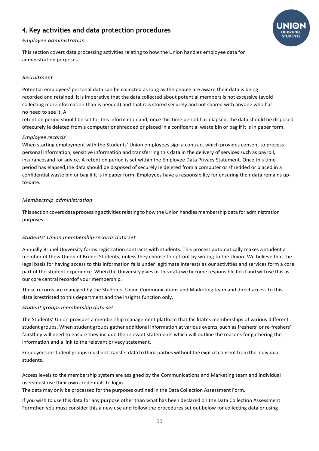# <span id="page-10-0"></span>**4. Key activities and data protection procedures**



## <span id="page-10-1"></span>*Employee administration*

This section covers data processing activities relating to how the Union handles employee data for administration purposes.

# *Recruitment*

Potential employees' personal data can be collected as long as the people are aware their data is being recorded and retained. It is imperative that the data collected about potential members is not excessive (avoid collecting moreinformation than is needed) and that it is stored securely and not shared with anyone who has no need to see it. A

retention period should be set for this information and, once this time period has elapsed, the data should be disposed ofsecurely ie deleted from a computer or shredded or placed in a confidential waste bin or bag if it is in paper form.

# *Employee records*

When starting employment with the Students' Union employees sign a contract which provides consent to process personal information, sensitive information and transferring this data in the delivery of services such as payroll, insurancesand for advice. A retention period is set within the Employee Data Privacy Statement. Once this time period has elapsed,the data should be disposed of securely ie deleted from a computer or shredded or placed in a confidential waste bin or bag if it is in paper form. Employees have a responsibility for ensuring their data remains upto-date.

# <span id="page-10-2"></span>*Membership administration*

This section covers data processing activities relating to how the Union handles membership data for administration purposes.

# *Students' Union membership records data set*

Annually Brunel University forms registration contracts with students. This process automatically makes a student a member of thew Union of Brunel Students, unless they choose to opt-out by writing to the Union. We believe that the legal basis for having access to this information falls under legitimate interests as our activities and services form a core part of the student experience. When the University gives us this data we become responsible for it and will use this as our core central recordof your membership.

These records are managed by the Students' Union Communications and Marketing team and direct access to this data isrestricted to this department and the insights function only.

### *Student groups membership data set*

The Students' Union provides a membership management platform that facilitates memberships of various different student groups. When student groups gather additional information at various events, such as freshers' or re-freshers' fairsthey will need to ensure they include the relevant statements which will outline the reasons for gathering the information and a link to the relevant privacy statement.

Employees or student groups must not transfer data to third-parties without the explicit consent from the individual students.

Access levels to the membership system are assigned by the Communications and Marketing team and individual usersmust use their own credentials to login.

The data may only be processed for the purposes outlined in the Data Collection Assessment Form.

If you wish to use this data for any purpose other than what has been declared on the Data Collection Assessment Formthen you must consider this a new use and follow the procedures set out below for collecting data or using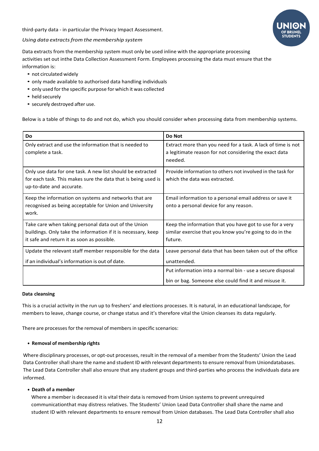third-party data - in particular the Privacy Impact Assessment.



#### *Using data extractsfrom the membership system*

Data extracts from the membership system must only be used inline with the appropriate processing activities set out inthe Data Collection Assessment Form. Employees processing the data must ensure that the information is:

- not circulated widely
- only made available to authorised data handling individuals
- only used forthe specific purpose for which it was collected
- held securely
- securely destroyed after use.

Below is a table of things to do and not do, which you should consider when processing data from membership systems.

| Do                                                                                                                                                                  | Do Not                                                                                                                            |
|---------------------------------------------------------------------------------------------------------------------------------------------------------------------|-----------------------------------------------------------------------------------------------------------------------------------|
| Only extract and use the information that is needed to<br>complete a task.                                                                                          | Extract more than you need for a task. A lack of time is not<br>a legitimate reason for not considering the exact data<br>needed. |
| Only use data for one task. A new list should be extracted<br>for each task. This makes sure the data that is being used is<br>up-to-date and accurate.             | Provide information to others not involved in the task for<br>which the data was extracted.                                       |
| Keep the information on systems and networks that are<br>recognised as being acceptable for Union and University<br>work.                                           | Email information to a personal email address or save it<br>onto a personal device for any reason.                                |
| Take care when taking personal data out of the Union<br>buildings. Only take the information if it is necessary, keep<br>it safe and return it as soon as possible. | Keep the information that you have got to use for a very<br>similar exercise that you know you're going to do in the<br>future.   |
| Update the relevant staff member responsible for the data<br>if an individual's information is out of date.                                                         | Leave personal data that has been taken out of the office<br>unattended.                                                          |
|                                                                                                                                                                     | Put information into a normal bin - use a secure disposal<br>bin or bag. Someone else could find it and misuse it.                |

#### **Data cleansing**

This is a crucial activity in the run up to freshers' and elections processes. It is natural, in an educational landscape, for members to leave, change course, or change status and it's therefore vital the Union cleanses its data regularly.

There are processes for the removal of members in specific scenarios:

#### **• Removal of membership rights**

Where disciplinary processes, or opt-out processes, result in the removal of a member from the Students' Union the Lead Data Controller shall share the name and student ID with relevant departments to ensure removal from Uniondatabases. The Lead Data Controller shall also ensure that any student groups and third-parties who process the individuals data are informed.

#### **• Death of a member**

Where a member is deceased it is vital their data is removed from Union systems to prevent unrequired communicationthat may distress relatives. The Students' Union Lead Data Controller shall share the name and student ID with relevant departments to ensure removal from Union databases. The Lead Data Controller shall also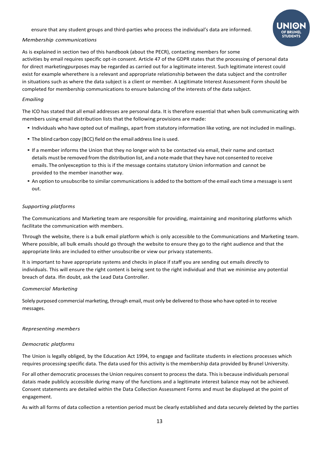ensure that any student groups and third-parties who process the individual's data are informed.



## <span id="page-12-0"></span>*Membership communications*

As is explained in section two of this handbook (about the PECR), contacting members for some activities by email requires specific opt-in consent. Article 47 of the GDPR states that the processing of personal data for direct marketingpurposes may be regarded as carried out for a legitimate interest. Such legitimate interest could exist for example wherethere is a relevant and appropriate relationship between the data subject and the controller in situations such as where the data subject is a client or member. A Legitimate Interest Assessment Form should be completed for membership communications to ensure balancing of the interests of the data subject.

## *Emailing*

The ICO has stated that all email addresses are personal data. It is therefore essential that when bulk communicating with members using email distribution lists that the following provisions are made:

- Individuals who have opted out of mailings, apart from statutory information like voting, are not included in mailings.
- The blind carbon copy (BCC) field on the email address line is used.
- If a member informs the Union that they no longer wish to be contacted via email, their name and contact details must be removed from the distribution list, and a note made that they have not consented to receive emails. The onlyexception to this is if the message contains statutory Union information and cannot be provided to the member inanother way.
- An option to unsubscribe to similar communications is added to the bottom of the email each time a message is sent out.

# *Supporting platforms*

The Communications and Marketing team are responsible for providing, maintaining and monitoring platforms which facilitate the communication with members.

Through the website, there is a bulk email platform which is only accessible to the Communications and Marketing team. Where possible, all bulk emails should go through the website to ensure they go to the right audience and that the appropriate links are included to either unsubscribe or view our privacy statements.

It is important to have appropriate systems and checks in place if staff you are sending out emails directly to individuals. This will ensure the right content is being sent to the right individual and that we minimise any potential breach of data. Ifin doubt, ask the Lead Data Controller.

### *Commercial Marketing*

Solely purposed commercial marketing, through email, must only be delivered to those who have opted-in to receive messages.

### <span id="page-12-1"></span>*Representing members*

### *Democratic platforms*

The Union is legally obliged, by the Education Act 1994, to engage and facilitate students in elections processes which requires processing specific data. The data used for this activity is the membership data provided by Brunel University.

For all other democratic processesthe Union requires consent to process the data. Thisis because individuals personal datais made publicly accessible during many of the functions and a legitimate interest balance may not be achieved. Consent statements are detailed within the Data Collection Assessment Forms and must be displayed at the point of engagement.

As with all forms of data collection a retention period must be clearly established and data securely deleted by the parties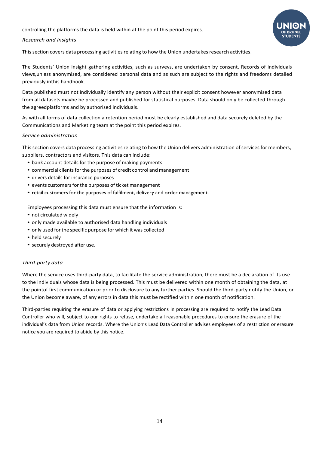controlling the platforms the data is held within at the point this period expires.

#### <span id="page-13-0"></span>*Research and insights*

This section covers data processing activities relating to how the Union undertakes research activities.

The Students' Union insight gathering activities, such as surveys, are undertaken by consent. Records of individuals views,unless anonymised, are considered personal data and as such are subject to the rights and freedoms detailed previously inthis handbook.

Data published must not individually identify any person without their explicit consent however anonymised data from all datasets maybe be processed and published for statistical purposes. Data should only be collected through the agreedplatforms and by authorised individuals.

As with all forms of data collection a retention period must be clearly established and data securely deleted by the Communications and Marketing team at the point this period expires.

#### <span id="page-13-1"></span>*Service administration*

This section covers data processing activities relating to how the Union delivers administration ofservices for members, suppliers, contractors and visitors. This data can include:

- bank account details for the purpose of making payments
- commercial clients for the purposes of credit control and management
- drivers details for insurance purposes
- events customers for the purposes of ticket management
- retail customers for the purposes of fulfilment, delivery and order management.

Employees processing this data must ensure that the information is:

- not circulated widely
- only made available to authorised data handling individuals
- only used forthe specific purpose for which it was collected
- held securely
- securely destroyed after use.

### <span id="page-13-2"></span>*Third-party data*

Where the service uses third-party data, to facilitate the service administration, there must be a declaration of its use to the individuals whose data is being processed. This must be delivered within one month of obtaining the data, at the pointof first communication or prior to disclosure to any further parties. Should the third-party notify the Union, or the Union become aware, of any errors in data this must be rectified within one month of notification.

Third-parties requiring the erasure of data or applying restrictions in processing are required to notify the Lead Data Controller who will, subject to our rights to refuse, undertake all reasonable procedures to ensure the erasure of the individual's data from Union records. Where the Union's Lead Data Controller advises employees of a restriction or erasure notice you are required to abide by this notice.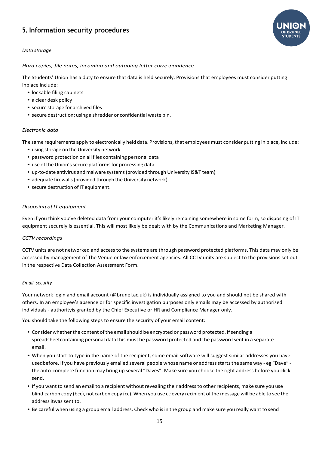# <span id="page-14-0"></span>**5. Information security procedures**

<span id="page-14-1"></span>

*Hard copies, file notes, incoming and outgoing letter correspondence*

The Students' Union has a duty to ensure that data is held securely. Provisions that employees must consider putting inplace include:

- lockable filing cabinets
- a clear desk policy
- secure storage for archived files
- secure destruction: using a shredder or confidential waste bin.

#### *Electronic data*

The same requirements apply to electronically held data. Provisions, that employees must consider putting in place, include:

- using storage on the University network
- password protection on all files containing personal data
- use of the Union's secure platforms for processing data
- up-to-date antivirus and malware systems(provided through University IS&T team)
- adequate firewalls (provided through the University network)
- secure destruction of IT equipment.

#### *Disposing of IT equipment*

Even if you think you've deleted data from your computer it's likely remaining somewhere in some form, so disposing of IT equipment securely is essential. This will most likely be dealt with by the Communications and Marketing Manager.

#### *CCTV recordings*

CCTV units are not networked and access to the systems are through password protected platforms. This data may only be accessed by management of The Venue or law enforcement agencies. All CCTV units are subject to the provisions set out in the respective Data Collection Assessment Form.

#### <span id="page-14-2"></span>*Email security*

Your network login and email account (@brunel.ac.uk) is individually assigned to you and should not be shared with others. In an employee's absence or for specific investigation purposes only emails may be accessed by authorised individuals - authorityis granted by the Chief Executive or HR and Compliance Manager only.

You should take the following steps to ensure the security of your email content:

- Consider whether the content of the email should be encrypted or password protected. If sending a spreadsheetcontaining personal data this must be password protected and the password sent in a separate email.
- When you start to type in the name of the recipient, some email software will suggest similar addresses you have usedbefore. If you have previously emailed several people whose name or address starts the same way - eg "Dave" the auto-complete function may bring up several "Daves". Make sure you choose the right address before you click send.
- If you want to send an email to a recipient without revealing their address to other recipients, make sure you use blind carbon copy (bcc), not carbon copy (cc). When you use cc every recipient of the message will be able to see the addressitwas sent to.
- Be careful when using a group email address. Check who is in the group and make sure you really want to send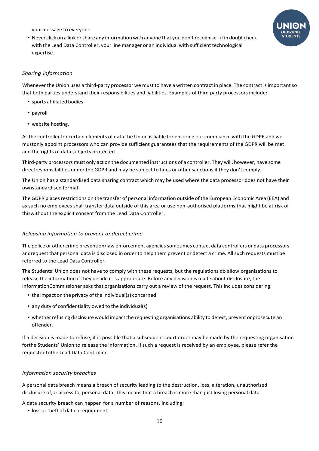yourmessage to everyone.

• Never click on a link or share any information with anyone that you don't recognise - if in doubt check with the Lead Data Controller, your line manager or an individual with sufficient technological expertise.



### <span id="page-15-0"></span>*Sharing information*

Whenever the Union uses a third-party processor we must to have a written contract in place. The contract is important so that both parties understand their responsibilities and liabilities. Examples of third party processors include:

- sports affiliated bodies
- payroll
- website hosting.

As the controller for certain elements of data the Union is liable for ensuring our compliance with the GDPR and we mustonly appoint processors who can provide sufficient guarantees that the requirements of the GDPR will be met and the rights of data subjects protected.

Third-party processors must only act on the documented instructions of a controller. They will, however, have some directresponsibilities under the GDPR and may be subject to fines or other sanctions if they don't comply.

The Union has a standardised data sharing contract which may be used where the data processor does not have their ownstandardised format.

The GDPR places restrictions on the transfer of personal information outside of the European Economic Area (EEA) and as such no employees shall transfer data outside of this area or use non-authorised platforms that might be at risk of thiswithout the explicit consent from the Lead Data Controller.

# <span id="page-15-1"></span>*Releasing information to prevent or detect crime*

The police or other crime prevention/law enforcement agenciessometimes contact data controllers or data processors andrequest that personal data is disclosed in order to help them prevent or detect a crime. All such requests must be referred to the Lead Data Controller.

The Students' Union does not have to comply with these requests, but the regulations do allow organisations to release the information if they decide it is appropriate. Before any decision is made about disclosure, the InformationCommissioner asks that organisations carry out a review of the request. This includes considering:

- the impact on the privacy of the individual(s) concerned
- any duty of confidentiality owed to the individual(s)
- whetherrefusing disclosure would impact the requesting organisations ability to detect, prevent or prosecute an offender.

If a decision is made to refuse, it is possible that a subsequent court order may be made by the requesting organisation forthe Students' Union to release the information. If such a request is received by an employee, please refer the requestor tothe Lead Data Controller.

# <span id="page-15-2"></span>*Information security breaches*

A personal data breach means a breach of security leading to the destruction, loss, alteration, unauthorised disclosure of,or access to, personal data. This means that a breach is more than just losing personal data.

A data security breach can happen for a number of reasons, including:

• loss or theft of data or equipment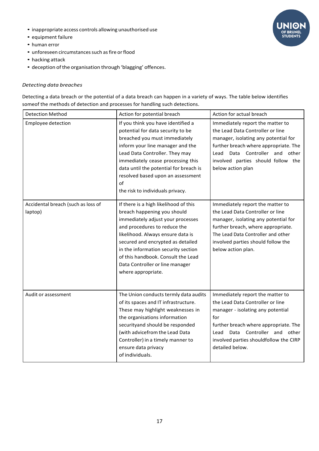- inappropriate access controls allowing unauthorised use
- equipment failure
- human error
- unforeseen circumstances such as fire or flood
- hacking attack
- deception ofthe organisation through 'blagging' offences.

# *Detecting data breaches*

Detecting a data breach or the potential of a data breach can happen in a variety of ways. The table below identifies someof the methods of detection and processes for handling such detections.

| <b>Detection Method</b>                       | Action for potential breach                                                                                                                                                                                                                                                                                                                               | Action for actual breach                                                                                                                                                                                                                                       |
|-----------------------------------------------|-----------------------------------------------------------------------------------------------------------------------------------------------------------------------------------------------------------------------------------------------------------------------------------------------------------------------------------------------------------|----------------------------------------------------------------------------------------------------------------------------------------------------------------------------------------------------------------------------------------------------------------|
| <b>Employee detection</b>                     | If you think you have identified a<br>potential for data security to be<br>breached you must immediately<br>inform your line manager and the<br>Lead Data Controller. They may<br>immediately cease processing this<br>data until the potential for breach is<br>resolved based upon an assessment<br>of<br>the risk to individuals privacy.              | Immediately report the matter to<br>the Lead Data Controller or line<br>manager, isolating any potential for<br>further breach where appropriate. The<br>Lead Data Controller and<br>other<br>involved parties should follow the<br>below action plan          |
| Accidental breach (such as loss of<br>laptop) | If there is a high likelihood of this<br>breach happening you should<br>immediately adjust your processes<br>and procedures to reduce the<br>likelihood. Always ensure data is<br>secured and encrypted as detailed<br>in the information security section<br>of this handbook. Consult the Lead<br>Data Controller or line manager<br>where appropriate. | Immediately report the matter to<br>the Lead Data Controller or line<br>manager, isolating any potential for<br>further breach, where appropriate.<br>The Lead Data Controller and other<br>involved parties should follow the<br>below action plan.           |
| Audit or assessment                           | The Union conducts termly data audits<br>of its spaces and IT infrastructure.<br>These may highlight weaknesses in<br>the organisations information<br>securityand should be responded<br>(with advicefrom the Lead Data<br>Controller) in a timely manner to<br>ensure data privacy<br>of individuals.                                                   | Immediately report the matter to<br>the Lead Data Controller or line<br>manager - isolating any potential<br>for<br>further breach where appropriate. The<br>Controller and other<br>Data<br>Lead<br>involved parties shouldfollow the CIRP<br>detailed below. |

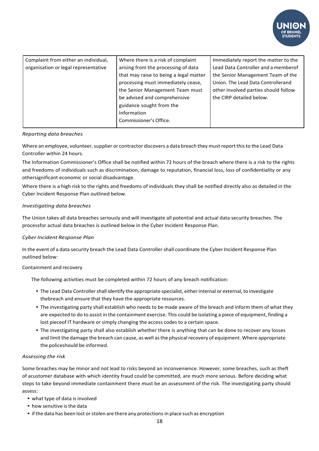

| Complaint from either an individual, | Where there is a risk of complaint     | Immediately report the matter to the |
|--------------------------------------|----------------------------------------|--------------------------------------|
| organisation or legal representative | arising from the processing of data    | Lead Data Controller and a memberof  |
|                                      | that may raise to being a legal matter | the Senior Management Team of the    |
|                                      | processing must immediately cease,     | Union. The Lead Data Controllerand   |
|                                      | the Senior Management Team must        | other involved parties should follow |
|                                      | be advised and comprehensive           | the CIRP detailed below.             |
|                                      | guidance sought from the               |                                      |
|                                      | Information                            |                                      |
|                                      | Commissioner's Office.                 |                                      |
|                                      |                                        |                                      |

#### *Reporting data breaches*

Where an employee, volunteer, supplier or contractor discovers a data breach they must report this to the Lead Data Controller within 24 hours.

The Information Commissioner's Office shall be notified within 72 hours of the breach where there is a risk to the rights and freedoms of individuals such as discrimination, damage to reputation, financial loss, loss of confidentiality or any othersignificant economic or social disadvantage.

Where there is a high risk to the rights and freedoms of individuals they shall be notified directly also as detailed in the Cyber Incident Response Plan outlined below.

#### *Investigating data breaches*

The Union takes all data breaches seriously and will investigate all potential and actual data security breaches. The processfor actual data breaches is outlined below in the Cyber Incident Response Plan.

### *Cyber Incident Response Plan*

In the event of a data security breach the Lead Data Controllershall coordinate the Cyber Incident Response Plan outlined below:

#### Containment and recovery

The following activities must be completed within 72 hours of any breach notification:

- The Lead Data Controller shall identify the appropriate specialist, either internal or external, to investigate thebreach and ensure that they have the appropriate resources.
- The investigating party shall establish who needs to be made aware of the breach and inform them of what they are expected to do to assist in the containment exercise. This could be isolating a piece of equipment, finding a lost pieceof IT hardware or simply changing the access codes to a certain space.
- The investigating party shall also establish whether there is anything that can be done to recover any losses and limit the damage the breach can cause, as well as the physical recovery of equipment. Where appropriate the policeshould be informed.

#### *Assessing the risk*

Some breaches may be minor and not lead to risks beyond an inconvenience. However, some breaches, such as theft of acustomer database with which identity fraud could be committed, are much more serious. Before deciding what steps to take beyond immediate containment there must be an assessment of the risk. The investigating party should assess:

- what type of data is involved
- how sensitive is the data
- if the data has been lost or stolen are there any protections in place such as encryption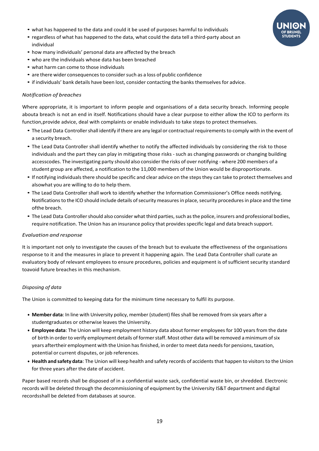- what has happened to the data and could it be used of purposes harmful to individuals
- regardless of what has happened to the data, what could the data tell a third-party about an individual
- how many individuals' personal data are affected by the breach
- who are the individuals whose data has been breached
- what harm can come to those individuals
- are there wider consequencesto considersuch as a loss of public confidence
- if individuals' bank details have been lost, consider contacting the banks themselves for advice.

## *Notification of breaches*

Where appropriate, it is important to inform people and organisations of a data security breach. Informing people abouta breach is not an end in itself. Notifications should have a clear purpose to either allow the ICO to perform its function,provide advice, deal with complaints or enable individuals to take steps to protect themselves.

- The Lead Data Controller shall identify if there are any legal or contractual requirements to comply with in the event of a security breach.
- The Lead Data Controller shall identify whether to notify the affected individuals by considering the risk to those individuals and the part they can play in mitigating those risks - such as changing passwords or changing building accesscodes. The investigating party should also considerthe risks of over notifying - where 200 members of a student group are affected, a notification to the 11,000 members of the Union would be disproportionate.
- If notifying individualsthere should be specific and clear advice on the stepsthey can take to protect themselves and alsowhat you are willing to do to help them.
- The Lead Data Controller shall work to identify whether the Information Commissioner's Office needs notifying. Notifications to the ICO should include details of security measures in place, security procedures in place and the time ofthe breach.
- The Lead Data Controller should also consider what third parties, such as the police, insurers and professional bodies, require notification. The Union has an insurance policy that provides specific legal and data breach support.

### *Evaluation and response*

It is important not only to investigate the causes of the breach but to evaluate the effectiveness of the organisations response to it and the measures in place to prevent it happening again. The Lead Data Controller shall curate an evaluatory body of relevant employees to ensure procedures, policies and equipment is of sufficient security standard toavoid future breaches in this mechanism.

### <span id="page-18-0"></span>*Disposing of data*

The Union is committed to keeping data for the minimum time necessary to fulfil its purpose.

- **• Member data**: In line with University policy, member (student) files shall be removed from six years after a studentgraduates or otherwise leaves the University.
- **• Employee data**: The Union will keep employment history data about former employees for 100 years from the date of birth in order to verify employment details of former staff. Most other data will be removed a minimum of six years aftertheir employment with the Union has finished, in order to meet data needs for pensions, taxation, potential or current disputes, or job references.
- **•** Health and safety data: The Union will keep health and safety records of accidents that happen to visitors to the Union for three years after the date of accident.

Paper based records shall be disposed of in a confidential waste sack, confidential waste bin, or shredded. Electronic records will be deleted through the decommissioning of equipment by the University IS&T department and digital recordsshall be deleted from databases at source.

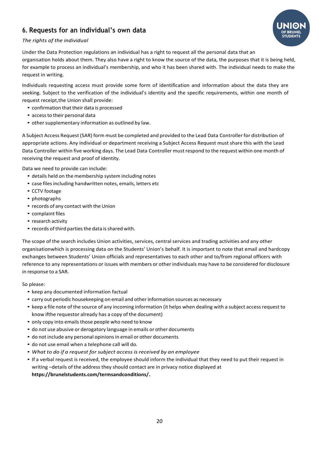# <span id="page-19-0"></span>**6. Requests for an individual's own data**



# *The rights of the individual*

Under the Data Protection regulations an individual has a right to request all the personal data that an organisation holds about them. They also have a right to know the source of the data, the purposes that it is being held, for example to process an individual's membership, and who it has been shared with. The individual needs to make the request in writing.

Individuals requesting access must provide some form of identification and information about the data they are seeking. Subject to the verification of the individual's identity and the specific requirements, within one month of request receipt,the Union shall provide:

- confirmation that their data is processed
- accessto their personal data
- other supplementary information as outlined by law.

A Subject Access Request (SAR) form must be completed and provided to the Lead Data Controller for distribution of appropriate actions. Any individual or department receiving a Subject Access Request must share this with the Lead Data Controller within five working days. The Lead Data Controller must respond to the request within one month of receiving the request and proof of identity.

Data we need to provide can include:

- details held on the membership system including notes
- case files including handwritten notes, emails, letters etc
- CCTV footage
- photographs
- records of any contact with the Union
- complaint files
- research activity
- records of third parties the data is shared with.

The scope of the search includes Union activities, services, central services and trading activities and any other organisationwhich is processing data on the Students' Union's behalf. It is important to note that email and hardcopy exchanges between Students' Union officials and representatives to each other and to/from regional officers with reference to any representations or issues with members or otherindividuals may have to be considered for disclosure in response to a SAR.

So please:

- keep any documented information factual
- carry out periodic housekeeping on email and otherinformation sources as necessary
- keep a file note of the source of any incoming information (it helps when dealing with a subject accessrequest to know ifthe requestor already has a copy of the document)
- only copy into emails those people who need to know
- do not use abusive or derogatory language in emails or other documents
- do not include any personal opinions in email or other documents
- do not use email when a telephone call will do.
- *What to do if a request for subject access isreceived by an employee*
- If a verbal request is received, the employee should inform the individual that they need to put their request in writing –details of the address they should contact are in privacy notice displayed at **https://brunelstudents.com/termsandconditions/.**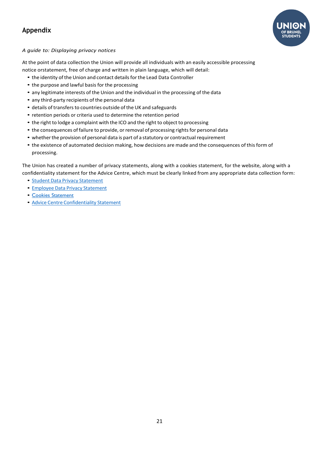# <span id="page-20-0"></span>**Appendix**



# <span id="page-20-1"></span>*A guide to: Displaying privacy notices*

At the point of data collection the Union will provide all individuals with an easily accessible processing notice orstatement, free of charge and written in plain language, which will detail:

- the identity of the Union and contact details for the Lead Data Controller
- the purpose and lawful basis for the processing
- any legitimate interests of the Union and the individual in the processing of the data
- any third-party recipients of the personal data
- details of transfers to countries outside of the UK and safeguards
- retention periods or criteria used to determine the retention period
- the right to lodge a complaint with the ICO and the right to object to processing
- the consequences of failure to provide, or removal of processing rights for personal data
- whether the provision of personal data is part of a statutory or contractual requirement
- the existence of automated decision making, how decisions are made and the consequences of this form of processing.

The Union has created a number of privacy statements, along with a cookies statement, for the website, along with a confidentiality statement for the Advice Centre, which must be clearly linked from any appropriate data collection form:

- Student Data Privacy [Statement](https://brunelstudents.com/pageassets/termsandconditions/Student-Data-Privacy-Statement-June-2021.pdf)
- Employee Data Privacy [Statement](https://brunelstudents.com/pageassets/termsandconditions/Employee-Data-Privacy-Statement-July-2021.pdf)
- Cookies [Statement](https://brunelstudents.com/termsandconditions/cookiesstatement/)
- Advice Centre [Confidentiality](https://brunelstudents.com/pageassets/termsandconditions/Advice-Service-confidentiality-policy.pdf) Statement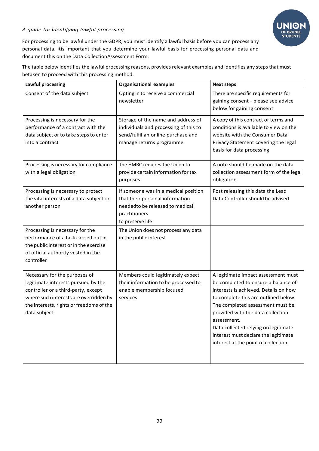# <span id="page-21-0"></span>*A guide to: Identifying lawful processing*



For processing to be lawful under the GDPR, you must identify a lawful basis before you can process any personal data. Itis important that you determine your lawful basis for processing personal data and document this on the Data CollectionAssessment Form.

The table below identifies the lawful processing reasons, provides relevant examples and identifies any steps that must betaken to proceed with this processing method.

| <b>Lawful processing</b>                                                                                                                                                                                          | <b>Organisational examples</b>                                                                                                                  | <b>Next steps</b>                                                                                                                                                                                                                                                                                                                                                           |
|-------------------------------------------------------------------------------------------------------------------------------------------------------------------------------------------------------------------|-------------------------------------------------------------------------------------------------------------------------------------------------|-----------------------------------------------------------------------------------------------------------------------------------------------------------------------------------------------------------------------------------------------------------------------------------------------------------------------------------------------------------------------------|
| Consent of the data subject                                                                                                                                                                                       | Opting in to receive a commercial<br>newsletter                                                                                                 | There are specific requirements for<br>gaining consent - please see advice<br>below for gaining consent                                                                                                                                                                                                                                                                     |
| Processing is necessary for the<br>performance of a contract with the<br>data subject or to take steps to enter<br>into a contract                                                                                | Storage of the name and address of<br>individuals and processing of this to<br>send/fulfil an online purchase and<br>manage returns programme   | A copy of this contract or terms and<br>conditions is available to view on the<br>website with the Consumer Data<br>Privacy Statement covering the legal<br>basis for data processing                                                                                                                                                                                       |
| Processing is necessary for compliance<br>with a legal obligation                                                                                                                                                 | The HMRC requires the Union to<br>provide certain information for tax<br>purposes                                                               | A note should be made on the data<br>collection assessment form of the legal<br>obligation                                                                                                                                                                                                                                                                                  |
| Processing is necessary to protect<br>the vital interests of a data subject or<br>another person                                                                                                                  | If someone was in a medical position<br>that their personal information<br>neededto be released to medical<br>practitioners<br>to preserve life | Post releasing this data the Lead<br>Data Controller should be advised                                                                                                                                                                                                                                                                                                      |
| Processing is necessary for the<br>performance of a task carried out in<br>the public interest or in the exercise<br>of official authority vested in the<br>controller                                            | The Union does not process any data<br>in the public interest                                                                                   |                                                                                                                                                                                                                                                                                                                                                                             |
| Necessary for the purposes of<br>legitimate interests pursued by the<br>controller or a third-party, except<br>where such interests are overridden by<br>the interests, rights or freedoms of the<br>data subject | Members could legitimately expect<br>their information to be processed to<br>enable membership focused<br>services                              | A legitimate impact assessment must<br>be completed to ensure a balance of<br>interests is achieved. Details on how<br>to complete this are outlined below.<br>The completed assessment must be<br>provided with the data collection<br>assessment.<br>Data collected relying on legitimate<br>interest must declare the legitimate<br>interest at the point of collection. |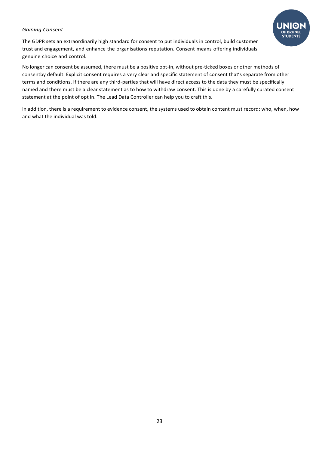### *Gaining Consent*



No longer can consent be assumed, there must be a positive opt-in, without pre-ticked boxes or other methods of consentby default. Explicit consent requires a very clear and specific statement of consent that's separate from other terms and conditions. If there are any third-parties that will have direct access to the data they must be specifically named and there must be a clear statement as to how to withdraw consent. This is done by a carefully curated consent statement at the point of opt in. The Lead Data Controller can help you to craft this.

In addition, there is a requirement to evidence consent, the systems used to obtain content must record: who, when, how and what the individual was told.

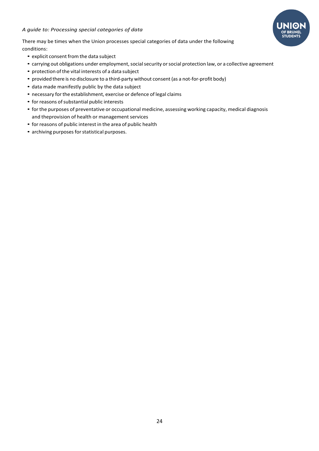

<span id="page-23-0"></span>There may be times when the Union processes special categories of data under the following conditions:

- explicit consent from the data subject
- carrying out obligations under employment, social security or social protection law, or a collective agreement
- protection of the vital interests of a data subject
- provided there is no disclosure to a third-party without consent (as a not-for-profit body)
- data made manifestly public by the data subject
- necessary for the establishment, exercise or defence of legal claims
- for reasons of substantial public interests
- forthe purposes of preventative or occupational medicine, assessing working capacity, medical diagnosis and theprovision of health or management services
- for reasons of public interest in the area of public health
- archiving purposes for statistical purposes.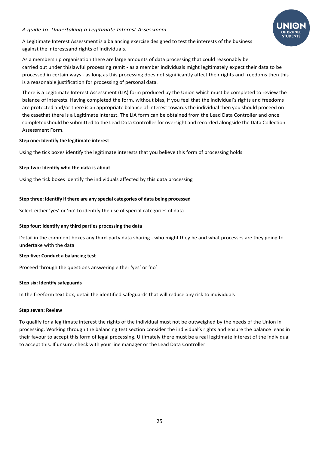### <span id="page-24-0"></span>*A guide to: Undertaking a Legitimate Interest Assessment*



A Legitimate Interest Assessment is a balancing exercise designed to test the interests of the business against the interestsand rights of individuals.

As a membership organisation there are large amounts of data processing that could reasonably be carried out under thislawful processing remit - as a member individuals might legitimately expect their data to be processed in certain ways - as long as this processing does not significantly affect their rights and freedoms then this is a reasonable justification for processing of personal data.

There is a Legitimate Interest Assessment (LIA) form produced by the Union which must be completed to review the balance of interests. Having completed the form, without bias, if you feel that the individual's rights and freedoms are protected and/or there is an appropriate balance of interest towards the individual then you should proceed on the casethat there is a Legitimate Interest. The LIA form can be obtained from the Lead Data Controller and once completedshould be submitted to the Lead Data Controller for oversight and recorded alongside the Data Collection Assessment Form.

#### **Step one: Identify the legitimate interest**

Using the tick boxes identify the legitimate interests that you believe this form of processing holds

### **Step two: Identify who the data is about**

Using the tick boxes identify the individuals affected by this data processing

#### **Step three: Identify if there are any special categories of data being processed**

Select either 'yes' or 'no' to identify the use of special categories of data

#### **Step four: Identify any third parties processing the data**

Detail in the comment boxes any third-party data sharing - who might they be and what processes are they going to undertake with the data

#### **Step five: Conduct a balancing test**

Proceed through the questions answering either 'yes' or 'no'

### **Step six: Identify safeguards**

In the freeform text box, detail the identified safeguards that will reduce any risk to individuals

#### **Step seven: Review**

To qualify for a legitimate interest the rights of the individual must not be outweighed by the needs of the Union in processing. Working through the balancing test section consider the individual's rights and ensure the balance leans in their favour to accept this form of legal processing. Ultimately there must be a real legitimate interest of the individual to accept this. If unsure, check with your line manager or the Lead Data Controller.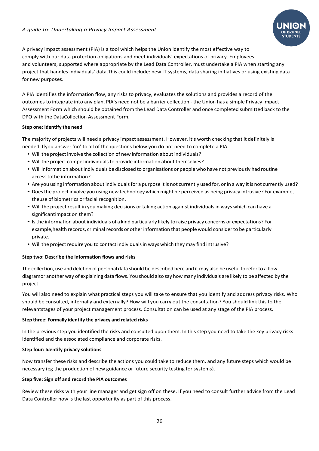#### <span id="page-25-0"></span>*A guide to: Undertaking a Privacy Impact Assessment*



A privacy impact assessment (PIA) is a tool which helps the Union identify the most effective way to comply with our data protection obligations and meet individuals' expectations of privacy. Employees and volunteers, supported where appropriate by the Lead Data Controller, must undertake a PIA when starting any project that handles individuals' data.This could include: new IT systems, data sharing initiatives or using existing data for new purposes.

A PIA identifies the information flow, any risks to privacy, evaluates the solutions and provides a record of the outcomes to integrate into any plan. PIA's need not be a barrier collection - the Union has a simple Privacy Impact Assessment Form which should be obtained from the Lead Data Controller and once completed submitted back to the DPO with the DataCollection Assessment Form.

#### **Step one: Identify the need**

The majority of projects will need a privacy impact assessment. However, it's worth checking that it definitely is needed. Ifyou answer 'no' to all of the questions below you do not need to complete a PIA.

- Will the project involve the collection of new information about individuals?
- Will the project compel individuals to provide information about themselves?
- Will information aboutindividuals be disclosed to organisations or people who have not previously had routine accesstothe information?
- Are you using information about individuals for a purpose it is not currently used for, or in a way it is not currently used?
- Doesthe projectinvolve you using new technology which might be perceived as being privacy intrusive? For example, theuse of biometrics or facial recognition.
- Will the project result in you making decisions or taking action against individuals in ways which can have a significantimpact on them?
- Isthe information aboutindividuals of a kind particularly likely to raise privacy concerns or expectations? For example,health records, criminal records or otherinformation that people would considerto be particularly private.
- Will the project require you to contact individuals in ways which they may find intrusive?

#### **Step two: Describe the information flows and risks**

The collection, use and deletion of personal data should be described here and it may also be useful to referto a flow diagramor another way of explaining data flows. You should also say how many individuals are likely to be affected by the project.

You will also need to explain what practical steps you will take to ensure that you identify and address privacy risks. Who should be consulted, internally and externally? How will you carry out the consultation? You should link this to the relevantstages of your project management process. Consultation can be used at any stage of the PIA process.

#### **Step three: Formally identify the privacy and related risks**

In the previous step you identified the risks and consulted upon them. In this step you need to take the key privacy risks identified and the associated compliance and corporate risks.

#### **Step four: Identify privacy solutions**

Now transfer these risks and describe the actions you could take to reduce them, and any future steps which would be necessary (eg the production of new guidance or future security testing for systems).

#### **Step five: Sign off and record the PIA outcomes**

Review these risks with your line manager and get sign off on these. If you need to consult further advice from the Lead Data Controller now is the last opportunity as part of this process.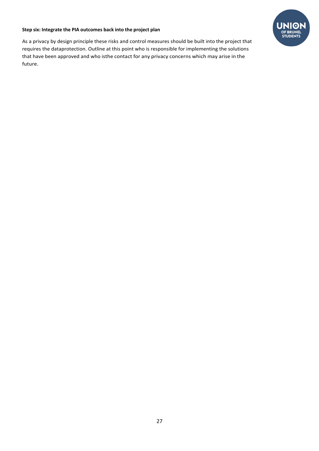#### **Step six: Integrate the PIA outcomes back into the project plan**

As a privacy by design principle these risks and control measures should be built into the project that requires the dataprotection. Outline at this point who is responsible for implementing the solutions that have been approved and who isthe contact for any privacy concerns which may arise in the future.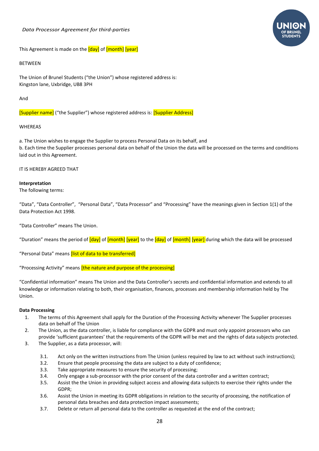#### <span id="page-27-0"></span>*Data Processor Agreement for third-parties*



This Agreement is made on the [day] of [month] [year]

#### BETWEEN

The Union of Brunel Students ("the Union") whose registered address is: Kingston lane, Uxbridge, UB8 3PH

#### And

[Supplier name] ("the Supplier") whose registered address is: [Supplier Address]

#### WHEREAS

a. The Union wishes to engage the Supplier to process Personal Data on its behalf, and b. Each time the Supplier processes personal data on behalf of the Union the data will be processed on the terms and conditions laid out in this Agreement.

#### IT IS HEREBY AGREED THAT

#### **Interpretation**

The following terms:

"Data", "Data Controller", "Personal Data", "Data Processor" and "Processing" have the meanings given in Section 1(1) of the Data Protection Act 1998.

"Data Controller" means The Union.

"Duration" means the period of [day] of [month] [year] to the [day] of [month] [year] during which the data will be processed

"Personal Data" means *[list of data to be transferred]* 

"Processing Activity" means *[the nature and purpose of the processing]* 

"Confidential information" means The Union and the Data Controller's secrets and confidential information and extends to all knowledge or information relating to both, their organisation, finances, processes and membership information held by The Union.

#### **Data Processing**

- 1. The terms of this Agreement shall apply for the Duration of the Processing Activity whenever The Supplier processes data on behalf of The Union
- 2. The Union, as the data controller, is liable for compliance with the GDPR and must only appoint processors who can provide 'sufficient guarantees' that the requirements of the GDPR will be met and the rights of data subjects protected.
- 3. The Supplier, as a data processor, will:
	- 3.1. Act only on the written instructions from The Union (unless required by law to act without such instructions);
	- 3.2. Ensure that people processing the data are subject to a duty of confidence;
	- 3.3. Take appropriate measures to ensure the security of processing;
	- 3.4. Only engage a sub-processor with the prior consent of the data controller and a written contract;
	- 3.5. Assist the the Union in providing subject access and allowing data subjects to exercise their rights under the GDPR;
	- 3.6. Assist the Union in meeting its GDPR obligations in relation to the security of processing, the notification of personal data breaches and data protection impact assessments;
	- 3.7. Delete or return all personal data to the controller as requested at the end of the contract;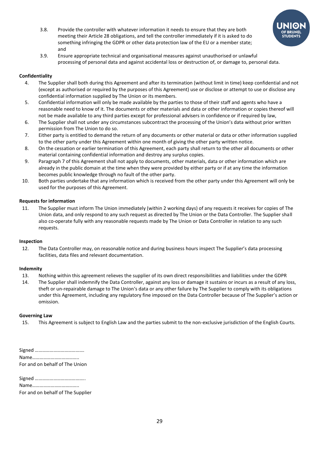

- 3.8. Provide the controller with whatever information it needs to ensure that they are both meeting their Article 28 obligations, and tell the controller immediately if it is asked to do something infringing the GDPR or other data protection law of the EU or a member state; and
- 3.9. Ensure appropriate technical and organisational measures against unauthorised or unlawful processing of personal data and against accidental loss or destruction of, or damage to, personal data.

## **Confidentiality**

- 4. The Supplier shall both during this Agreement and after its termination (without limit in time) keep confidential and not (except as authorised or required by the purposes of this Agreement) use or disclose or attempt to use or disclose any confidential information supplied by The Union or its members.
- 5. Confidential information will only be made available by the parties to those of their staff and agents who have a reasonable need to know of it. The documents or other materials and data or other information or copies thereof will not be made available to any third parties except for professional advisers in confidence or if required by law,
- 6. The Supplier shall not under any circumstances subcontract the processing of the Union's data without prior written permission from The Union to do so.
- 7. Either party is entitled to demand the return of any documents or other material or data or other information supplied to the other party under this Agreement within one month of giving the other party written notice.
- 8. On the cessation or earlier termination of this Agreement, each party shall return to the other all documents or other material containing confidential information and destroy any surplus copies.
- 9. Paragraph 7 of this Agreement shall not apply to documents, other materials, data or other information which are already in the public domain at the time when they were provided by either party or if at any time the information becomes public knowledge through no fault of the other party.
- 10. Both parties undertake that any information which is received from the other party under this Agreement will only be used for the purposes of this Agreement.

### **Requests for information**

11. The Supplier must inform The Union immediately (within 2 working days) of any requests it receives for copies of The Union data, and only respond to any such request as directed by The Union or the Data Controller. The Supplier shall also co-operate fully with any reasonable requests made by The Union or Data Controller in relation to any such requests.

### **Inspection**

12. The Data Controller may, on reasonable notice and during business hours inspect The Supplier's data processing facilities, data files and relevant documentation.

### **Indemnity**

- 13. Nothing within this agreement relieves the supplier of its own direct responsibilities and liabilities under the GDPR
- 14. The Supplier shall indemnify the Data Controller, against any loss or damage it sustains or incurs as a result of any loss, theft or un-repairable damage to The Union's data or any other failure by The Supplier to comply with its obligations under this Agreement, including any regulatory fine imposed on the Data Controller because of The Supplier's action or omission.

#### **Governing Law**

15. This Agreement is subject to English Law and the parties submit to the non-exclusive jurisdiction of the English Courts.

Signed …………………………………. Name……………………………….. For and on behalf of The Union

Signed …………………………………..

Name………………………………..

For and on behalf of The Supplier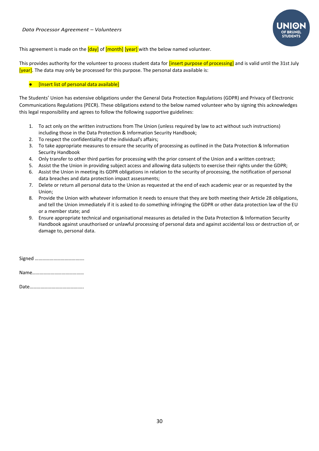

<span id="page-29-0"></span>This agreement is made on the  $\frac{[day]}{[down]}$  of  $\frac{[month]}{[down]}$  with the below named volunteer.

This provides authority for the volunteer to process student data for *[insert purpose of processing]* and is valid until the 31st July [year]. The data may only be processed for this purpose. The personal data available is:

#### **•** [Insert list of personal data available]

The Students' Union has extensive obligations under the General Data Protection Regulations (GDPR) and Privacy of Electronic Communications Regulations (PECR). These obligations extend to the below named volunteer who by signing this acknowledges this legal responsibility and agrees to follow the following supportive guidelines:

- 1. To act only on the written instructions from The Union (unless required by law to act without such instructions) including those in the Data Protection & Information Security Handbook;
- 2. To respect the confidentiality of the individual's affairs;
- 3. To take appropriate measures to ensure the security of processing as outlined in the Data Protection & Information Security Handbook
- 4. Only transfer to other third parties for processing with the prior consent of the Union and a written contract;
- 5. Assist the the Union in providing subject access and allowing data subjects to exercise their rights under the GDPR;
- 6. Assist the Union in meeting its GDPR obligations in relation to the security of processing, the notification of personal data breaches and data protection impact assessments;
- 7. Delete or return all personal data to the Union as requested at the end of each academic year or as requested by the Union;
- 8. Provide the Union with whatever information it needs to ensure that they are both meeting their Article 28 obligations, and tell the Union immediately if it is asked to do something infringing the GDPR or other data protection law of the EU or a member state; and
- 9. Ensure appropriate technical and organisational measures as detailed in the Data Protection & Information Security Handbook against unauthorised or unlawful processing of personal data and against accidental loss or destruction of, or damage to, personal data.

Signed ………………………………….

Name……………………………………

Date………………………………….….